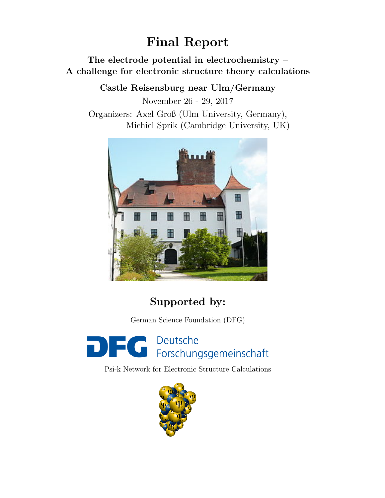# Final Report

### The electrode potential in electrochemistry – A challenge for electronic structure theory calculations

Castle Reisensburg near Ulm/Germany

November 26 - 29, 2017 Organizers: Axel Groß (Ulm University, Germany), Michiel Sprik (Cambridge University, UK)



## Supported by:

German Science Foundation (DFG)



Psi-k Network for Electronic Structure Calculations

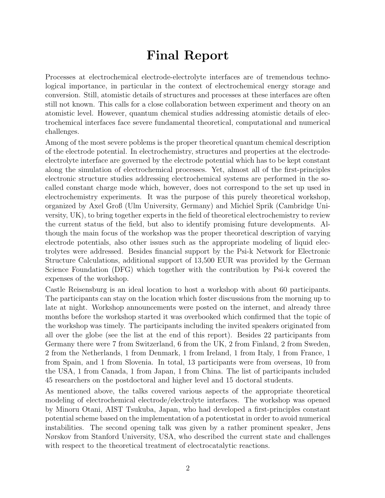## Final Report

Processes at electrochemical electrode-electrolyte interfaces are of tremendous technological importance, in particular in the context of electrochemical energy storage and conversion. Still, atomistic details of structures and processes at these interfaces are often still not known. This calls for a close collaboration between experiment and theory on an atomistic level. However, quantum chemical studies addressing atomistic details of electrochemical interfaces face severe fundamental theoretical, computational and numerical challenges.

Among of the most severe poblems is the proper theoretical quantum chemical description of the electrode potential. In electrochemistry, structures and properties at the electrodeelectrolyte interface are governed by the electrode potential which has to be kept constant along the simulation of electrochemical processes. Yet, almost all of the first-principles electronic structure studies addressing electrochemical systems are performed in the socalled constant charge mode which, however, does not correspond to the set up used in electrochemistry experiments. It was the purpose of this purely theoretical workshop, organized by Axel Groß (Ulm University, Germany) and Michiel Sprik (Cambridge University, UK), to bring together experts in the field of theoretical electrochemistry to review the current status of the field, but also to identify promising future developments. Although the main focus of the workshop was the proper theoretical description of varying electrode potentials, also other issues such as the appropriate modeling of liquid electrolytes were addressed. Besides financial support by the Psi-k Network for Electronic Structure Calculations, additional support of 13,500 EUR was provided by the German Science Foundation (DFG) which together with the contribution by Psi-k covered the expenses of the workshop.

Castle Reisensburg is an ideal location to host a workshop with about 60 participants. The participants can stay on the location which foster discussions from the morning up to late at night. Workshop announcements were posted on the internet, and already three months before the workshop started it was overbooked which confirmed that the topic of the workshop was timely. The participants including the invited speakers originated from all over the globe (see the list at the end of this report). Besides 22 participants from Germany there were 7 from Switzerland, 6 from the UK, 2 from Finland, 2 from Sweden, 2 from the Netherlands, 1 from Denmark, 1 from Ireland, 1 from Italy, 1 from France, 1 from Spain, and 1 from Slovenia. In total, 13 participants were from overseas, 10 from the USA, 1 from Canada, 1 from Japan, 1 from China. The list of participants included 45 researchers on the postdoctoral and higher level and 15 doctoral students.

As mentioned above, the talks covered various aspects of the appropriate theoretical modeling of electrochemical electrode/electrolyte interfaces. The workshop was opened by Minoru Otani, AIST Tsukuba, Japan, who had developed a first-principles constant potential scheme based on the implementation of a potentiostat in order to avoid numerical instabilities. The second opening talk was given by a rather prominent speaker, Jens Nørskov from Stanford University, USA, who described the current state and challenges with respect to the theoretical treatment of electrocatalytic reactions.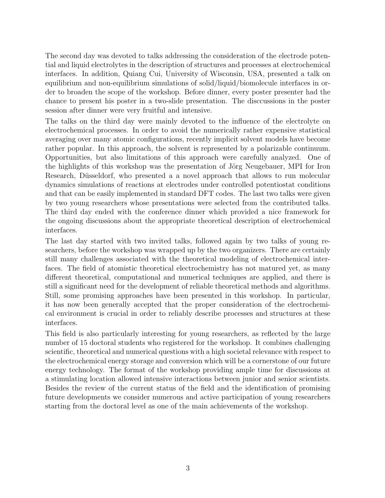The second day was devoted to talks addressing the consideration of the electrode potential and liquid electrolytes in the description of structures and processes at electrochemical interfaces. In addition, Quiang Cui, University of Wisconsin, USA, presented a talk on equilibrium and non-equilibrium simulations of solid/liquid/biomolecule interfaces in order to broaden the scope of the workshop. Before dinner, every poster presenter had the chance to present his poster in a two-slide presentation. The disccussions in the poster session after dinner were very fruitful and intensive.

The talks on the third day were mainly devoted to the influence of the electrolyte on electrochemical processes. In order to avoid the numerically rather expensive statistical averaging over many atomic configurations, recently implicit solvent models have become rather popular. In this approach, the solvent is represented by a polarizable continuum. Opportunities, but also limitations of this approach were carefully analyzed. One of the highlights of this workshop was the presentation of Jörg Neugebauer, MPI for Iron Research, Düsseldorf, who presented a a novel approach that allows to run molecular dynamics simulations of reactions at electrodes under controlled potentiostat conditions and that can be easily implemented in standard DFT codes. The last two talks were given by two young researchers whose presentations were selected from the contributed talks. The third day ended with the conference dinner which provided a nice framework for the ongoing discussions about the appropriate theoretical description of electrochemical interfaces.

The last day started with two invited talks, followed again by two talks of young researchers, before the workshop was wrapped up by the two organizers. There are certainly still many challenges associated with the theoretical modeling of electrochemical interfaces. The field of atomistic theoretical electrochemistry has not matured yet, as many different theoretical, computational and numerical techniques are applied, and there is still a significant need for the development of reliable theoretical methods and algorithms. Still, some promising approaches have been presented in this workshop. In particular, it has now been generally accepted that the proper consideration of the electrochemical environment is crucial in order to reliably describe processes and structures at these interfaces.

This field is also particularly interesting for young researchers, as reflected by the large number of 15 doctoral students who registered for the workshop. It combines challenging scientific, theoretical and numerical questions with a high societal relevance with respect to the electrochemical energy storage and conversion which will be a cornerstone of our future energy technology. The format of the workshop providing ample time for discussions at a stimulating location allowed intensive interactions between junior and senior scientists. Besides the review of the current status of the field and the identification of promising future developments we consider numerous and active participation of young researchers starting from the doctoral level as one of the main achievements of the workshop.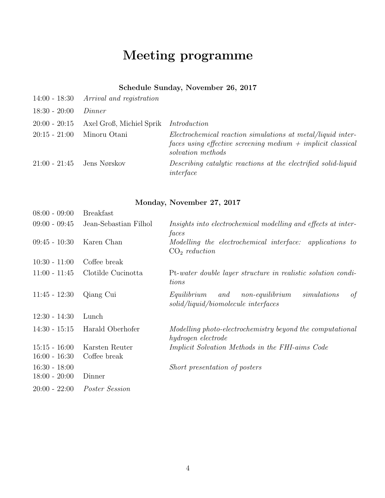# Meeting programme

### Schedule Sunday, November 26, 2017

|                              | $14:00 - 18:30$ Arrival and registration |                                                                                                                                                   |
|------------------------------|------------------------------------------|---------------------------------------------------------------------------------------------------------------------------------------------------|
| $18:30 - 20:00$              | Dinner                                   |                                                                                                                                                   |
| $20:00 - 20:15$              | Axel Groß, Michiel Sprik                 | Introduction                                                                                                                                      |
| $20:15 - 21:00$              | Minoru Otani                             | Electrochemical reaction simulations at metal/liquid inter-<br>faces using effective screening medium $+$ implicit classical<br>solvation methods |
| $21:00 - 21:45$ Jens Nørskov |                                          | Describing catalytic reactions at the electrified solid-liquid<br>interface                                                                       |

### Monday, November 27, 2017

| $08:00 - 09:00$                    | <b>Breakfast</b>               |                                                                                                   |
|------------------------------------|--------------------------------|---------------------------------------------------------------------------------------------------|
| $09:00 - 09:45$                    | Jean-Sebastian Filhol          | Insights into electrochemical modelling and effects at inter-<br>faces                            |
| $09:45 - 10:30$                    | Karen Chan                     | Modelling the electrochemical interface:<br><i>applications to</i><br>CO <sub>2</sub> reduction   |
| $10:30 - 11:00$                    | Coffee break                   |                                                                                                   |
| $11:00 - 11:45$                    | Clotilde Cucinotta             | Pt-water double layer structure in realistic solution condi-<br>tions                             |
| $11:45 - 12:30$                    | Qiang Cui                      | simulations<br>Equilibrium<br>and<br>non-equilibrium<br>of<br>solid/liquid/biomolecule interfaces |
| $12:30 - 14:30$                    | Lunch                          |                                                                                                   |
| $14:30 - 15:15$                    | Harald Oberhofer               | Modelling photo-electrochemistry beyond the computational<br>hydrogen electrode                   |
| $15:15 - 16:00$<br>$16:00 - 16:30$ | Karsten Reuter<br>Coffee break | <i>Implicit Solvation Methods in the FHI-aims Code</i>                                            |
| $16:30 - 18:00$<br>$18:00 - 20:00$ | Dinner                         | Short presentation of posters                                                                     |
| $20:00 - 22:00$                    | Poster Session                 |                                                                                                   |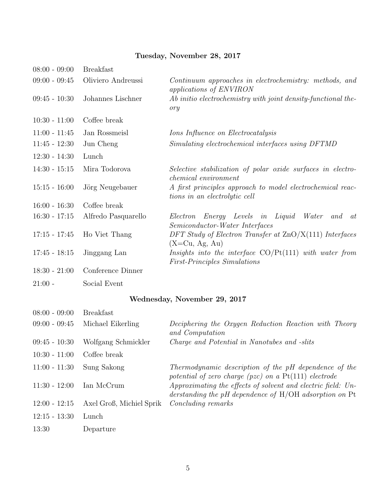### Tuesday, November 28, 2017

| $08:00 - 09:00$ | <b>Breakfast</b>    |                                                                                                        |
|-----------------|---------------------|--------------------------------------------------------------------------------------------------------|
| $09:00 - 09:45$ | Oliviero Andreussi  | Continuum approaches in electrochemistry: methods, and<br>applications of ENVIRON                      |
| $09:45 - 10:30$ | Johannes Lischner   | Ab initio electrochemistry with joint density-functional the-<br>ory                                   |
| $10:30 - 11:00$ | Coffee break        |                                                                                                        |
| $11:00 - 11:45$ | Jan Rossmeisl       | <i>Ions Influence on Electrocatalysis</i>                                                              |
| $11:45 - 12:30$ | Jun Cheng           | Simulating electrochemical interfaces using DFTMD                                                      |
| $12:30 - 14:30$ | Lunch               |                                                                                                        |
| $14:30 - 15:15$ | Mira Todorova       | Selective stabilization of polar oxide surfaces in electro-<br><i>chemical</i> environment             |
| $15:15 - 16:00$ | Jörg Neugebauer     | A first principles approach to model electrochemical reac-<br>tions in an electrolytic cell            |
| $16:00 - 16:30$ | Coffee break        |                                                                                                        |
| $16:30 - 17:15$ | Alfredo Pasquarello | Energy Levels in Liquid<br>Water<br>Electron<br>and<br><sub>at</sub><br>Semiconductor-Water Interfaces |
| $17:15 - 17:45$ | Ho Viet Thang       | DFT Study of Electron Transfer at $\text{ZnO/X}(111)$ Interfaces<br>$(X=Cu, Ag, Au)$                   |
| $17:45 - 18:15$ | Jinggang Lan        | Insights into the interface $CO/Pt(111)$ with water from<br><i>First-Principles Simulations</i>        |
| $18:30 - 21:00$ | Conference Dinner   |                                                                                                        |
| $21:00 -$       | Social Event        |                                                                                                        |

### Wednesday, November 29, 2017

| $08:00 - 09:00$ | <b>Breakfast</b>         |                                                                                                                          |
|-----------------|--------------------------|--------------------------------------------------------------------------------------------------------------------------|
| $09:00 - 09:45$ | Michael Eikerling        | Deciphering the Oxygen Reduction Reaction with Theory<br>and Computation                                                 |
| $09:45 - 10:30$ | Wolfgang Schmickler      | Charge and Potential in Nanotubes and -slits                                                                             |
| $10:30 - 11:00$ | Coffee break             |                                                                                                                          |
| $11:00 - 11:30$ | Sung Sakong              | Thermodynamic description of the pH dependence of the<br>potential of zero charge (pzc) on a $Pt(111)$ electrode         |
| $11:30 - 12:00$ | Ian McCrum               | Approximating the effects of solvent and electric field: Un-<br>derstanding the pH dependence of $H/OH$ adsorption on Pt |
| $12:00 - 12:15$ | Axel Groß, Michiel Sprik | <i>Concluding remarks</i>                                                                                                |
| $12:15 - 13:30$ | Lunch                    |                                                                                                                          |
| 13:30           | Departure                |                                                                                                                          |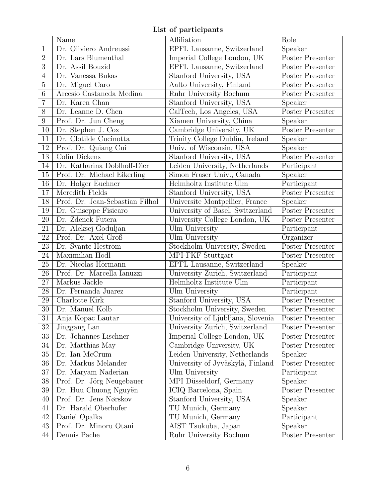List of participants

|                 | Name                            | Affiliation                        | Role             |
|-----------------|---------------------------------|------------------------------------|------------------|
| $\mathbf{1}$    | Dr. Oliviero Andreussi          | EPFL Lausanne, Switzerland         | Speaker          |
| $\overline{2}$  | Dr. Lars Blumenthal             | Imperial College London, UK        | Poster Presenter |
| 3               | Dr. Assil Bouzid                | EPFL Lausanne, Switzerland         | Poster Presenter |
| $\overline{4}$  | Dr. Vanessa Bukas               | Stanford University, USA           | Poster Presenter |
| $\overline{5}$  | Dr. Miguel Caro                 | Aalto University, Finland          | Poster Presenter |
| $6\phantom{.}6$ | Arcesio Castaneda Medina        | Ruhr University Bochum             | Poster Presenter |
| $\overline{7}$  | Dr. Karen Chan                  | Stanford University, USA           | <b>Speaker</b>   |
| 8               | Dr. Leanne D. Chen              | CalTech, Los Angeles, USA          | Poster Presenter |
| 9               | Prof. Dr. Jun Cheng             | Xiamen University, China           | Speaker          |
| 10              | Dr. Stephen J. Cox              | Cambridge University, UK           | Poster Presenter |
| 11              | Dr. Clotilde Cucinotta          | Trinity College Dublin, Ireland    | Speaker          |
| 12              | Prof. Dr. Quiang Cui            | Univ. of Wisconsin, USA            | Speaker          |
| 13              | Colin Dickens                   | Stanford University, USA           | Poster Presenter |
| 14              | Dr. Katharina Doblhoff-Dier     | Leiden University, Netherlands     | Participant      |
| 15              | Prof. Dr. Michael Eikerling     | Simon Fraser Univ., Canada         | Speaker          |
| 16              | Dr. Holger Euchner              | Helmholtz Institute Ulm            | Participant      |
| 17              | Meredith Fields                 | Stanford University, USA           | Poster Presenter |
| 18              | Prof. Dr. Jean-Sebastian Filhol | Universite Montpellier, France     | Speaker          |
| 19              | Dr. Guiseppe Fisicaro           | University of Basel, Switzerland   | Poster Presenter |
| 20              | Dr. Zdenek Futera               | University College London, UK      | Poster Presenter |
| 21              | Dr. Aleksej Goduljan            | Ulm University                     | Participant      |
| 22              | Prof. Dr. Axel Groß             | Ulm University                     | Organizer        |
| 23              | Dr. Svante Heström              | Stockholm University, Sweden       | Poster Presenter |
| 24              | Maximilian Hödl                 | MPI-FKF Stuttgart                  | Poster Presenter |
| 25              | Dr. Nicolas Hörmann             | EPFL Lausanne, Switzerland         | Speaker          |
| 26              | Prof. Dr. Marcella Ianuzzi      | University Zurich, Switzerland     | Participant      |
| 27              | Markus Jäckle                   | Helmholtz Institute Ulm            | Participant      |
| 28              | Dr. Fernanda Juarez             | $\overline{\text{Ulm}}$ University | Participant      |
| 29              | Charlotte Kirk                  | Stanford University, USA           | Poster Presenter |
| 30              | Dr. Manuel Kolb                 | Stockholm University, Sweden       | Poster Presenter |
| 31              | Anja Kopac Lautar               | University of Ljubljana, Slovenia  | Poster Presenter |
| 32              | Jinggang Lan                    | University Zurich, Switzerland     | Poster Presenter |
| 33              | Dr. Johannes Lischner           | Imperial College London, UK        | Poster Presenter |
| 34              | Dr. Matthias May                | Cambridge University, UK           | Poster Presenter |
| 35              | Dr. Ian McCrum                  | Leiden University, Netherlands     | Speaker          |
| 36              | Dr. Markus Melander             | University of Jyväskylä, Finland   | Poster Presenter |
| 37              | Dr. Maryam Naderian             | Ulm University                     | Participant      |
| 38              | Prof. Dr. Jörg Neugebauer       | MPI Düsseldorf, Germany            | Speaker          |
| 39              | Dr. Huu Chuong Nguyën           | ICIQ Barcelona, Spain              | Poster Presenter |
| 40              | Prof. Dr. Jens Nørskov          | Stanford University, USA           | Speaker          |
| 41              | Dr. Harald Oberhofer            | TU Munich, Germany                 | Speaker          |
| $42\,$          | Daniel Opalka                   | TU Munich, Germany                 | Participant      |
| 43              | Prof. Dr. Minoru Otani          | AIST Tsukuba, Japan                | Speaker          |
| 44              | Dennis Pache                    | Ruhr University Bochum             | Poster Presenter |